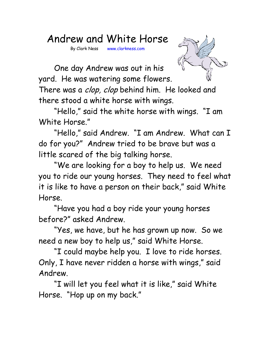## Andrew and White Horse

By Clark Ness www.clarkness.com



One day Andrew was out in his yard. He was watering some flowers.

There was a *clop, clop* behind him. He looked and there stood a white horse with wings.

"Hello," said the white horse with wings. "I am White Horse."

"Hello," said Andrew. "I am Andrew. What can I do for you?" Andrew tried to be brave but was a little scared of the big talking horse.

"We are looking for a boy to help us. We need you to ride our young horses. They need to feel what it is like to have a person on their back," said White Horse.

"Have you had a boy ride your young horses before?" asked Andrew.

"Yes, we have, but he has grown up now. So we need a new boy to help us," said White Horse.

"I could maybe help you. I love to ride horses. Only, I have never ridden a horse with wings," said Andrew.

"I will let you feel what it is like," said White Horse. "Hop up on my back."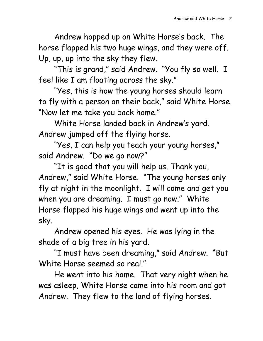Andrew hopped up on White Horse's back. The horse flapped his two huge wings, and they were off. Up, up, up into the sky they flew.

"This is grand," said Andrew. "You fly so well. I feel like I am floating across the sky."

"Yes, this is how the young horses should learn to fly with a person on their back," said White Horse. "Now let me take you back home."

White Horse landed back in Andrew's yard. Andrew jumped off the flying horse.

"Yes, I can help you teach your young horses," said Andrew. "Do we go now?"

"It is good that you will help us. Thank you, Andrew," said White Horse. "The young horses only fly at night in the moonlight. I will come and get you when you are dreaming. I must go now." White Horse flapped his huge wings and went up into the sky.

Andrew opened his eyes. He was lying in the shade of a big tree in his yard.

"I must have been dreaming," said Andrew. "But White Horse seemed so real."

He went into his home. That very night when he was asleep, White Horse came into his room and got Andrew. They flew to the land of flying horses.